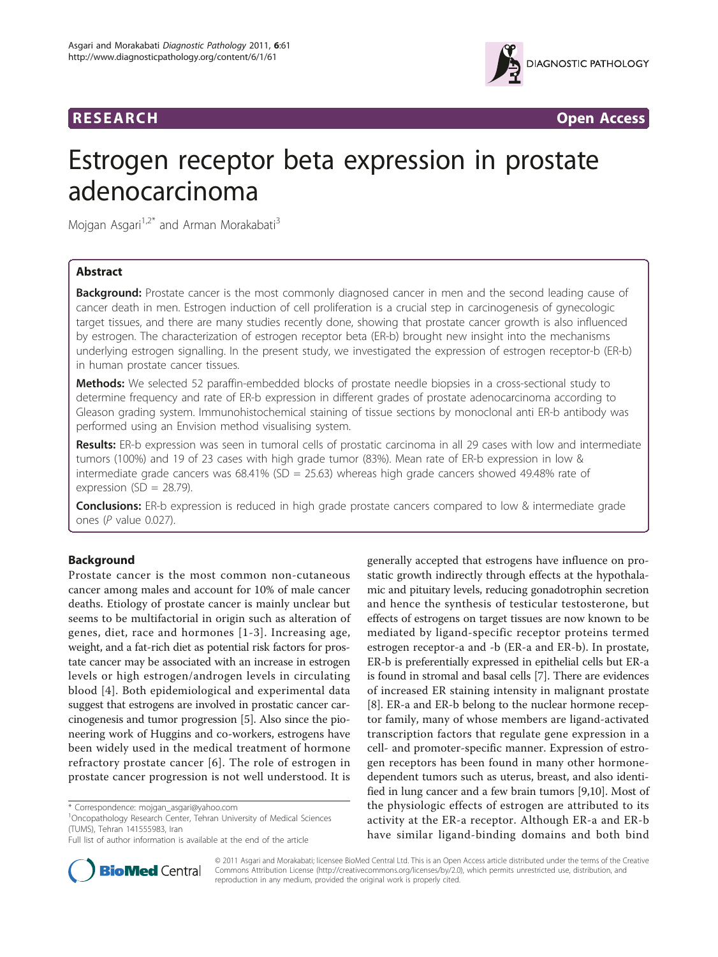



# Estrogen receptor beta expression in prostate adenocarcinoma

Mojgan Asgari<sup>1,2\*</sup> and Arman Morakabati<sup>3</sup>

# Abstract

**Background:** Prostate cancer is the most commonly diagnosed cancer in men and the second leading cause of cancer death in men. Estrogen induction of cell proliferation is a crucial step in carcinogenesis of gynecologic target tissues, and there are many studies recently done, showing that prostate cancer growth is also influenced by estrogen. The characterization of estrogen receptor beta (ER-b) brought new insight into the mechanisms underlying estrogen signalling. In the present study, we investigated the expression of estrogen receptor-b (ER-b) in human prostate cancer tissues.

Methods: We selected 52 paraffin-embedded blocks of prostate needle biopsies in a cross-sectional study to determine frequency and rate of ER-b expression in different grades of prostate adenocarcinoma according to Gleason grading system. Immunohistochemical staining of tissue sections by monoclonal anti ER-b antibody was performed using an Envision method visualising system.

Results: ER-b expression was seen in tumoral cells of prostatic carcinoma in all 29 cases with low and intermediate tumors (100%) and 19 of 23 cases with high grade tumor (83%). Mean rate of ER-b expression in low & intermediate grade cancers was  $68.41\%$  (SD = 25.63) whereas high grade cancers showed 49.48% rate of expression  $(SD = 28.79)$ .

**Conclusions:** ER-b expression is reduced in high grade prostate cancers compared to low & intermediate grade ones (P value 0.027).

## Background

Prostate cancer is the most common non-cutaneous cancer among males and account for 10% of male cancer deaths. Etiology of prostate cancer is mainly unclear but seems to be multifactorial in origin such as alteration of genes, diet, race and hormones [[1-3\]](#page-3-0). Increasing age, weight, and a fat-rich diet as potential risk factors for prostate cancer may be associated with an increase in estrogen levels or high estrogen/androgen levels in circulating blood [\[4\]](#page-3-0). Both epidemiological and experimental data suggest that estrogens are involved in prostatic cancer carcinogenesis and tumor progression [[5](#page-3-0)]. Also since the pioneering work of Huggins and co-workers, estrogens have been widely used in the medical treatment of hormone refractory prostate cancer [[6](#page-3-0)]. The role of estrogen in prostate cancer progression is not well understood. It is

<sup>1</sup>Oncopathology Research Center, Tehran University of Medical Sciences (TUMS), Tehran 141555983, Iran

Full list of author information is available at the end of the article





© 2011 Asgari and Morakabati; licensee BioMed Central Ltd. This is an Open Access article distributed under the terms of the Creative Commons Attribution License [\(http://creativecommons.org/licenses/by/2.0](http://creativecommons.org/licenses/by/2.0)), which permits unrestricted use, distribution, and reproduction in any medium, provided the original work is properly cited.

<sup>\*</sup> Correspondence: [mojgan\\_asgari@yahoo.com](mailto:mojgan_asgari@yahoo.com)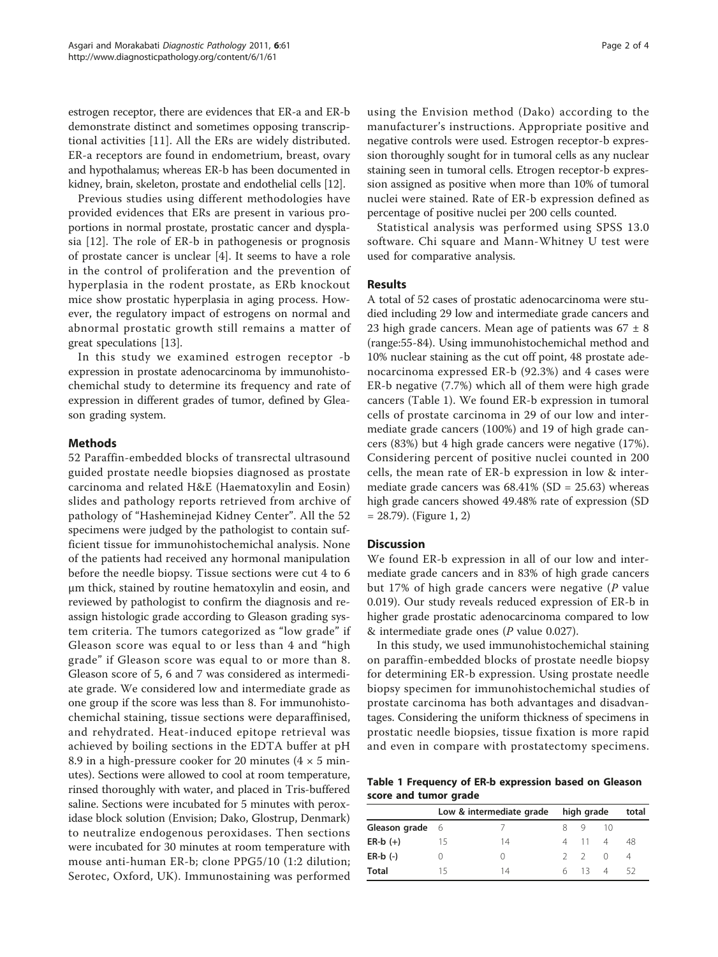estrogen receptor, there are evidences that ER-a and ER-b demonstrate distinct and sometimes opposing transcriptional activities [\[11](#page-3-0)]. All the ERs are widely distributed. ER-a receptors are found in endometrium, breast, ovary and hypothalamus; whereas ER-b has been documented in kidney, brain, skeleton, prostate and endothelial cells [\[12\]](#page-3-0).

Previous studies using different methodologies have provided evidences that ERs are present in various proportions in normal prostate, prostatic cancer and dysplasia [\[12\]](#page-3-0). The role of ER-b in pathogenesis or prognosis of prostate cancer is unclear [[4\]](#page-3-0). It seems to have a role in the control of proliferation and the prevention of hyperplasia in the rodent prostate, as ERb knockout mice show prostatic hyperplasia in aging process. However, the regulatory impact of estrogens on normal and abnormal prostatic growth still remains a matter of great speculations [\[13](#page-3-0)].

In this study we examined estrogen receptor -b expression in prostate adenocarcinoma by immunohistochemichal study to determine its frequency and rate of expression in different grades of tumor, defined by Gleason grading system.

## Methods

52 Paraffin-embedded blocks of transrectal ultrasound guided prostate needle biopsies diagnosed as prostate carcinoma and related H&E (Haematoxylin and Eosin) slides and pathology reports retrieved from archive of pathology of "Hasheminejad Kidney Center". All the 52 specimens were judged by the pathologist to contain sufficient tissue for immunohistochemichal analysis. None of the patients had received any hormonal manipulation before the needle biopsy. Tissue sections were cut 4 to 6 μm thick, stained by routine hematoxylin and eosin, and reviewed by pathologist to confirm the diagnosis and reassign histologic grade according to Gleason grading system criteria. The tumors categorized as "low grade" if Gleason score was equal to or less than 4 and "high grade" if Gleason score was equal to or more than 8. Gleason score of 5, 6 and 7 was considered as intermediate grade. We considered low and intermediate grade as one group if the score was less than 8. For immunohistochemichal staining, tissue sections were deparaffinised, and rehydrated. Heat-induced epitope retrieval was achieved by boiling sections in the EDTA buffer at pH 8.9 in a high-pressure cooker for 20 minutes  $(4 \times 5 \text{ min}$ utes). Sections were allowed to cool at room temperature, rinsed thoroughly with water, and placed in Tris-buffered saline. Sections were incubated for 5 minutes with peroxidase block solution (Envision; Dako, Glostrup, Denmark) to neutralize endogenous peroxidases. Then sections were incubated for 30 minutes at room temperature with mouse anti-human ER-b; clone PPG5/10 (1:2 dilution; Serotec, Oxford, UK). Immunostaining was performed

using the Envision method (Dako) according to the manufacturer's instructions. Appropriate positive and negative controls were used. Estrogen receptor-b expression thoroughly sought for in tumoral cells as any nuclear staining seen in tumoral cells. Etrogen receptor-b expression assigned as positive when more than 10% of tumoral nuclei were stained. Rate of ER-b expression defined as percentage of positive nuclei per 200 cells counted.

Statistical analysis was performed using SPSS 13.0 software. Chi square and Mann-Whitney U test were used for comparative analysis.

## Results

A total of 52 cases of prostatic adenocarcinoma were studied including 29 low and intermediate grade cancers and 23 high grade cancers. Mean age of patients was  $67 \pm 8$ (range:55-84). Using immunohistochemichal method and 10% nuclear staining as the cut off point, 48 prostate adenocarcinoma expressed ER-b (92.3%) and 4 cases were ER-b negative (7.7%) which all of them were high grade cancers (Table 1). We found ER-b expression in tumoral cells of prostate carcinoma in 29 of our low and intermediate grade cancers (100%) and 19 of high grade cancers (83%) but 4 high grade cancers were negative (17%). Considering percent of positive nuclei counted in 200 cells, the mean rate of ER-b expression in low & intermediate grade cancers was  $68.41\%$  (SD = 25.63) whereas high grade cancers showed 49.48% rate of expression (SD = 28.79). (Figure [1, 2](#page-2-0))

### **Discussion**

We found ER-b expression in all of our low and intermediate grade cancers and in 83% of high grade cancers but 17% of high grade cancers were negative  $(P \text{ value})$ 0.019). Our study reveals reduced expression of ER-b in higher grade prostatic adenocarcinoma compared to low & intermediate grade ones  $(P \text{ value } 0.027)$ .

In this study, we used immunohistochemichal staining on paraffin-embedded blocks of prostate needle biopsy for determining ER-b expression. Using prostate needle biopsy specimen for immunohistochemichal studies of prostate carcinoma has both advantages and disadvantages. Considering the uniform thickness of specimens in prostatic needle biopsies, tissue fixation is more rapid and even in compare with prostatectomy specimens.

Table 1 Frequency of ER-b expression based on Gleason score and tumor grade

|                 | Low & intermediate grade |                  | high grade |                |           | total |
|-----------------|--------------------------|------------------|------------|----------------|-----------|-------|
| Gleason grade 6 |                          |                  |            | 8910           |           |       |
| $ER-b (+)$      | 15                       | 14               |            | 4 11 4         |           | 48    |
| $ER-b$ $(-)$    |                          | $\left( \right)$ |            | 2 <sub>2</sub> | $\bigcap$ |       |
| Total           | 15                       | 14               |            | 6 13 4         |           | 52    |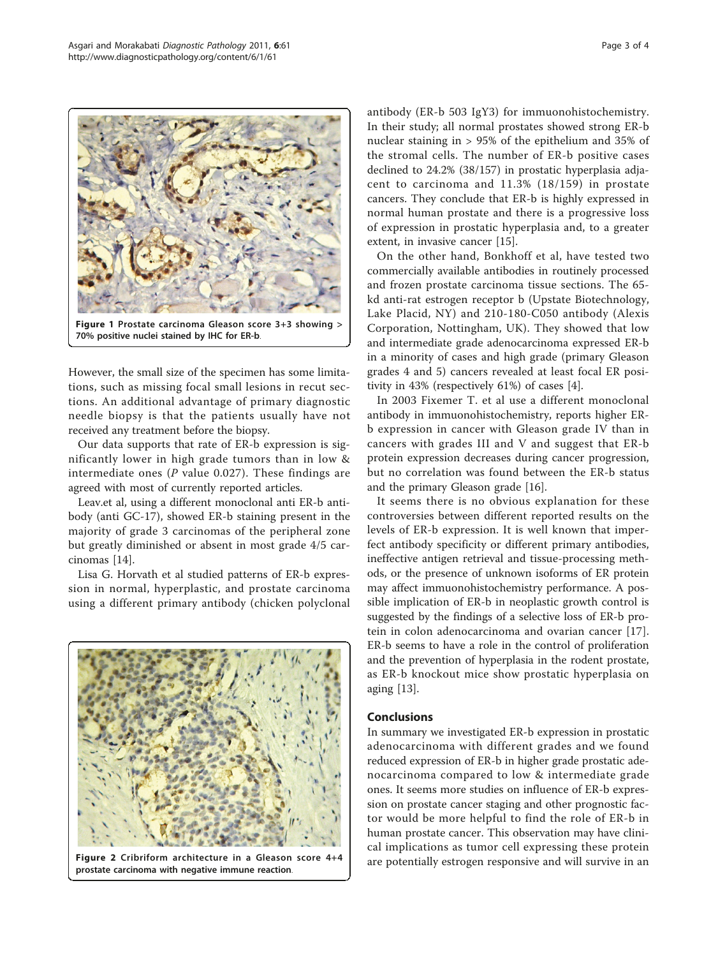<span id="page-2-0"></span>

However, the small size of the specimen has some limitations, such as missing focal small lesions in recut sections. An additional advantage of primary diagnostic needle biopsy is that the patients usually have not received any treatment before the biopsy.

Our data supports that rate of ER-b expression is significantly lower in high grade tumors than in low & intermediate ones  $(P \text{ value } 0.027)$ . These findings are agreed with most of currently reported articles.

Leav.et al, using a different monoclonal anti ER-b antibody (anti GC-17), showed ER-b staining present in the majority of grade 3 carcinomas of the peripheral zone but greatly diminished or absent in most grade 4/5 carcinomas [[14\]](#page-3-0).

Lisa G. Horvath et al studied patterns of ER-b expression in normal, hyperplastic, and prostate carcinoma using a different primary antibody (chicken polyclonal



Figure 2 Cribriform architecture in a Gleason score 4+4 prostate carcinoma with negative immune reaction.

antibody (ER-b 503 IgY3) for immuonohistochemistry. In their study; all normal prostates showed strong ER-b nuclear staining in > 95% of the epithelium and 35% of the stromal cells. The number of ER-b positive cases declined to 24.2% (38/157) in prostatic hyperplasia adjacent to carcinoma and 11.3% (18/159) in prostate cancers. They conclude that ER-b is highly expressed in normal human prostate and there is a progressive loss of expression in prostatic hyperplasia and, to a greater extent, in invasive cancer [[15](#page-3-0)].

On the other hand, Bonkhoff et al, have tested two commercially available antibodies in routinely processed and frozen prostate carcinoma tissue sections. The 65 kd anti-rat estrogen receptor b (Upstate Biotechnology, Lake Placid, NY) and 210-180-C050 antibody (Alexis Corporation, Nottingham, UK). They showed that low and intermediate grade adenocarcinoma expressed ER-b in a minority of cases and high grade (primary Gleason grades 4 and 5) cancers revealed at least focal ER positivity in 43% (respectively 61%) of cases [\[4\]](#page-3-0).

In 2003 Fixemer T. et al use a different monoclonal antibody in immuonohistochemistry, reports higher ERb expression in cancer with Gleason grade IV than in cancers with grades III and V and suggest that ER-b protein expression decreases during cancer progression, but no correlation was found between the ER-b status and the primary Gleason grade [[16\]](#page-3-0).

It seems there is no obvious explanation for these controversies between different reported results on the levels of ER-b expression. It is well known that imperfect antibody specificity or different primary antibodies, ineffective antigen retrieval and tissue-processing methods, or the presence of unknown isoforms of ER protein may affect immuonohistochemistry performance. A possible implication of ER-b in neoplastic growth control is suggested by the findings of a selective loss of ER-b protein in colon adenocarcinoma and ovarian cancer [[17](#page-3-0)]. ER-b seems to have a role in the control of proliferation and the prevention of hyperplasia in the rodent prostate, as ER-b knockout mice show prostatic hyperplasia on aging [[13\]](#page-3-0).

## Conclusions

In summary we investigated ER-b expression in prostatic adenocarcinoma with different grades and we found reduced expression of ER-b in higher grade prostatic adenocarcinoma compared to low & intermediate grade ones. It seems more studies on influence of ER-b expression on prostate cancer staging and other prognostic factor would be more helpful to find the role of ER-b in human prostate cancer. This observation may have clinical implications as tumor cell expressing these protein are potentially estrogen responsive and will survive in an